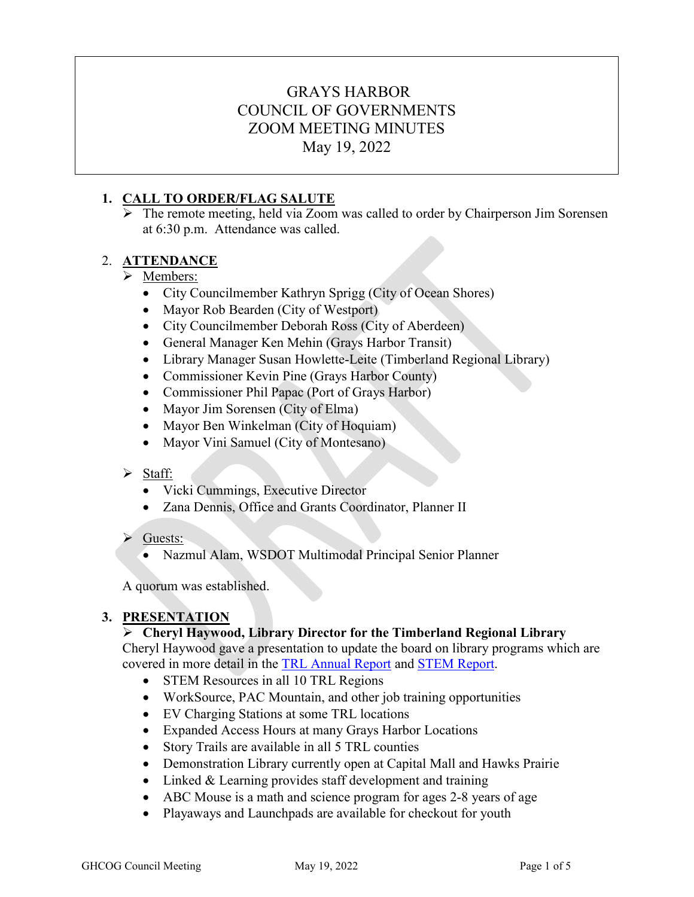# GRAYS HARBOR COUNCIL OF GOVERNMENTS ZOOM MEETING MINUTES May 19, 2022

# **1. CALL TO ORDER/FLAG SALUTE**

 The remote meeting, held via Zoom was called to order by Chairperson Jim Sorensen at 6:30 p.m. Attendance was called.

# 2. **ATTENDANCE**

# > Members:

- City Councilmember Kathryn Sprigg (City of Ocean Shores)
- Mayor Rob Bearden (City of Westport)
- City Councilmember Deborah Ross (City of Aberdeen)
- General Manager Ken Mehin (Grays Harbor Transit)
- Library Manager Susan Howlette-Leite (Timberland Regional Library)
- Commissioner Kevin Pine (Grays Harbor County)
- Commissioner Phil Papac (Port of Grays Harbor)
- Mayor Jim Sorensen (City of Elma)
- Mayor Ben Winkelman (City of Hoquiam)
- Mayor Vini Samuel (City of Montesano)

# Staff:

- Vicki Cummings, Executive Director
- Zana Dennis, Office and Grants Coordinator, Planner II
- $\triangleright$  Guests:
	- Nazmul Alam, WSDOT Multimodal Principal Senior Planner

A quorum was established.

# **3. PRESENTATION**

# **Cheryl Haywood, Library Director for the Timberland Regional Library**

Cheryl Haywood gave a presentation to update the board on library programs which are covered in more detail in the [TRL Annual Report](https://www.trl.org/annual-reports) and [STEM Report.](https://express.adobe.com/page/IrzZJn3gi9o82/)

- STEM Resources in all 10 TRL Regions
- WorkSource, PAC Mountain, and other job training opportunities
- EV Charging Stations at some TRL locations
- Expanded Access Hours at many Grays Harbor Locations
- Story Trails are available in all 5 TRL counties
- Demonstration Library currently open at Capital Mall and Hawks Prairie
- Linked & Learning provides staff development and training
- ABC Mouse is a math and science program for ages 2-8 years of age
- Playaways and Launchpads are available for checkout for youth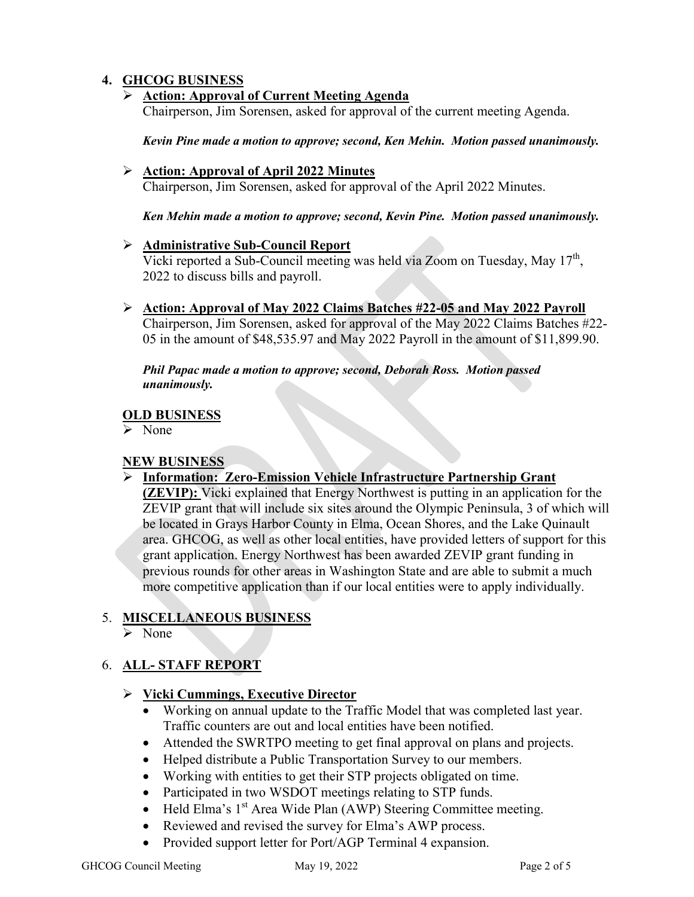# **4. GHCOG BUSINESS**

### **Action: Approval of Current Meeting Agenda**

Chairperson, Jim Sorensen, asked for approval of the current meeting Agenda.

*Kevin Pine made a motion to approve; second, Ken Mehin. Motion passed unanimously.*

#### **Action: Approval of April 2022 Minutes**

Chairperson, Jim Sorensen, asked for approval of the April 2022 Minutes.

*Ken Mehin made a motion to approve; second, Kevin Pine. Motion passed unanimously.* 

#### **Administrative Sub-Council Report**

Vicki reported a Sub-Council meeting was held via Zoom on Tuesday, May  $17<sup>th</sup>$ , 2022 to discuss bills and payroll.

# **Action: Approval of May 2022 Claims Batches #22-05 and May 2022 Payroll**

Chairperson, Jim Sorensen, asked for approval of the May 2022 Claims Batches #22- 05 in the amount of \$48,535.97 and May 2022 Payroll in the amount of \$11,899.90.

#### *Phil Papac made a motion to approve; second, Deborah Ross. Motion passed unanimously.*

# **OLD BUSINESS**

> None

# **NEW BUSINESS**

# **Information: Zero-Emission Vehicle Infrastructure Partnership Grant**

**(ZEVIP):** Vicki explained that Energy Northwest is putting in an application for the ZEVIP grant that will include six sites around the Olympic Peninsula, 3 of which will be located in Grays Harbor County in Elma, Ocean Shores, and the Lake Quinault area. GHCOG, as well as other local entities, have provided letters of support for this grant application. Energy Northwest has been awarded ZEVIP grant funding in previous rounds for other areas in Washington State and are able to submit a much more competitive application than if our local entities were to apply individually.

# 5. **MISCELLANEOUS BUSINESS**

 $\triangleright$  None

# 6. **ALL- STAFF REPORT**

# **Vicki Cummings, Executive Director**

- Working on annual update to the Traffic Model that was completed last year. Traffic counters are out and local entities have been notified.
- Attended the SWRTPO meeting to get final approval on plans and projects.
- Helped distribute a Public Transportation Survey to our members.
- Working with entities to get their STP projects obligated on time.
- Participated in two WSDOT meetings relating to STP funds.
- Held Elma's  $1<sup>st</sup>$  Area Wide Plan (AWP) Steering Committee meeting.
- Reviewed and revised the survey for Elma's AWP process.
- Provided support letter for Port/AGP Terminal 4 expansion.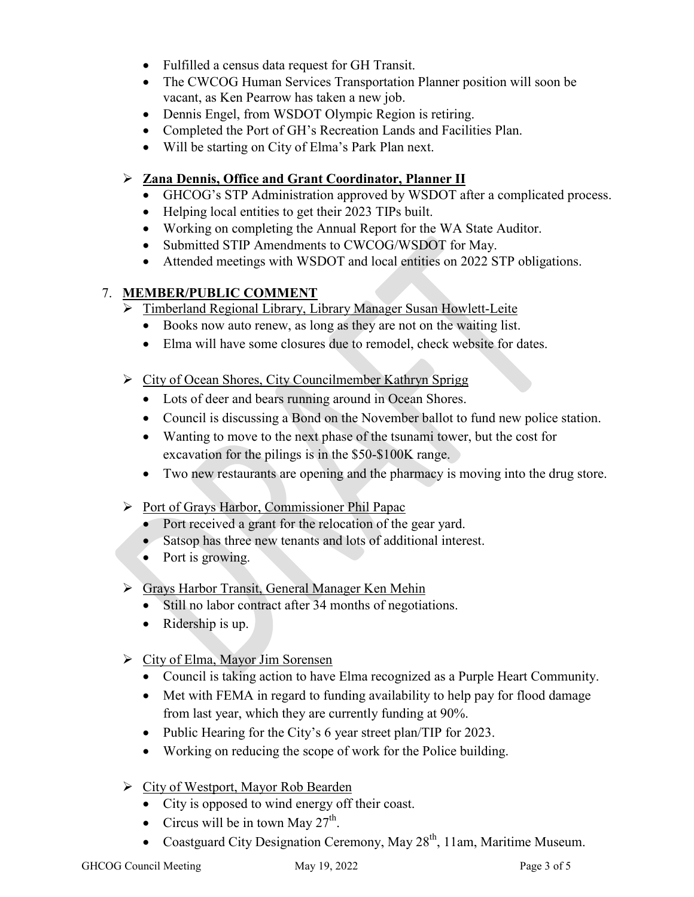- Fulfilled a census data request for GH Transit.
- The CWCOG Human Services Transportation Planner position will soon be vacant, as Ken Pearrow has taken a new job.
- Dennis Engel, from WSDOT Olympic Region is retiring.
- Completed the Port of GH's Recreation Lands and Facilities Plan.
- Will be starting on City of Elma's Park Plan next.

# **Zana Dennis, Office and Grant Coordinator, Planner II**

- GHCOG's STP Administration approved by WSDOT after a complicated process.
- Helping local entities to get their 2023 TIPs built.
- Working on completing the Annual Report for the WA State Auditor.
- Submitted STIP Amendments to CWCOG/WSDOT for May.
- Attended meetings with WSDOT and local entities on 2022 STP obligations.

# 7. **MEMBER/PUBLIC COMMENT**

- Timberland Regional Library, Library Manager Susan Howlett-Leite
	- Books now auto renew, as long as they are not on the waiting list.
	- Elma will have some closures due to remodel, check website for dates.
- ▶ City of Ocean Shores, City Councilmember Kathryn Sprigg
	- Lots of deer and bears running around in Ocean Shores.
	- Council is discussing a Bond on the November ballot to fund new police station.
	- Wanting to move to the next phase of the tsunami tower, but the cost for excavation for the pilings is in the \$50-\$100K range.
	- Two new restaurants are opening and the pharmacy is moving into the drug store.
- Port of Grays Harbor, Commissioner Phil Papac
	- Port received a grant for the relocation of the gear yard.
	- Satsop has three new tenants and lots of additional interest.
	- Port is growing.
- Grays Harbor Transit, General Manager Ken Mehin
	- Still no labor contract after 34 months of negotiations.
	- Ridership is up.
- City of Elma, Mayor Jim Sorensen
	- Council is taking action to have Elma recognized as a Purple Heart Community.
	- Met with FEMA in regard to funding availability to help pay for flood damage from last year, which they are currently funding at 90%.
	- Public Hearing for the City's 6 year street plan/TIP for 2023.
	- Working on reducing the scope of work for the Police building.
- $\triangleright$  City of Westport, Mayor Rob Bearden
	- City is opposed to wind energy off their coast.
	- Circus will be in town May  $27<sup>th</sup>$ .
	- Coastguard City Designation Ceremony, May  $28<sup>th</sup>$ , 11am, Maritime Museum.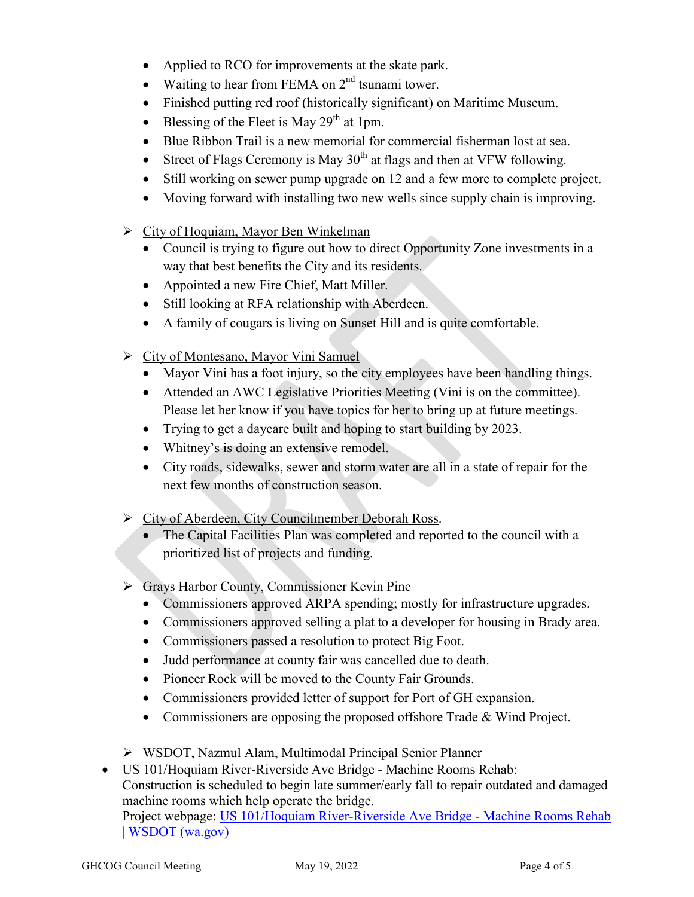- Applied to RCO for improvements at the skate park.
- Waiting to hear from FEMA on  $2<sup>nd</sup>$  tsunami tower.
- Finished putting red roof (historically significant) on Maritime Museum.
- Blessing of the Fleet is May  $29<sup>th</sup>$  at 1pm.
- Blue Ribbon Trail is a new memorial for commercial fisherman lost at sea.
- Street of Flags Ceremony is May  $30<sup>th</sup>$  at flags and then at VFW following.
- Still working on sewer pump upgrade on 12 and a few more to complete project.
- Moving forward with installing two new wells since supply chain is improving.
- $\triangleright$  City of Hoquiam, Mayor Ben Winkelman
	- Council is trying to figure out how to direct Opportunity Zone investments in a way that best benefits the City and its residents.
	- Appointed a new Fire Chief, Matt Miller.
	- Still looking at RFA relationship with Aberdeen.
	- A family of cougars is living on Sunset Hill and is quite comfortable.
- $\triangleright$  City of Montesano, Mayor Vini Samuel
	- Mayor Vini has a foot injury, so the city employees have been handling things.
	- Attended an AWC Legislative Priorities Meeting (Vini is on the committee). Please let her know if you have topics for her to bring up at future meetings.
	- Trying to get a daycare built and hoping to start building by 2023.
	- Whitney's is doing an extensive remodel.
	- City roads, sidewalks, sewer and storm water are all in a state of repair for the next few months of construction season.
- City of Aberdeen, City Councilmember Deborah Ross.
	- The Capital Facilities Plan was completed and reported to the council with a prioritized list of projects and funding.
- Grays Harbor County, Commissioner Kevin Pine
	- Commissioners approved ARPA spending; mostly for infrastructure upgrades.
	- Commissioners approved selling a plat to a developer for housing in Brady area.
	- Commissioners passed a resolution to protect Big Foot.
	- Judd performance at county fair was cancelled due to death.
	- Pioneer Rock will be moved to the County Fair Grounds.
	- Commissioners provided letter of support for Port of GH expansion.
	- Commissioners are opposing the proposed offshore Trade & Wind Project.
- WSDOT, Nazmul Alam, Multimodal Principal Senior Planner

• US 101/Hoquiam River-Riverside Ave Bridge - Machine Rooms Rehab: Construction is scheduled to begin late summer/early fall to repair outdated and damaged machine rooms which help operate the bridge. Project webpage: [US 101/Hoquiam River-Riverside Ave Bridge - Machine Rooms Rehab](https://wsdot.wa.gov/construction-planning/search-projects/us-101-hoquiam-river-riverside-ave-bridge-machine-rooms-rehab)  [| WSDOT \(wa.gov\)](https://wsdot.wa.gov/construction-planning/search-projects/us-101-hoquiam-river-riverside-ave-bridge-machine-rooms-rehab)